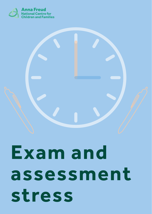

# **Exam and assessment stress**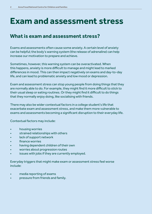# **Exam and assessment stress**

#### **What is exam and assessment stress?**

Exams and assessments often cause some anxiety. A certain level of anxiety can be helpful; the body's warning system (the release of adrenaline) can help increase our motivation to prepare and achieve.

Sometimes, however, this warning system can be overactivated. When this happens, anxiety is more difficult to manage and might lead to marked differences in mood. This can then impact negatively on exams and day-to-day life, and can lead to problematic anxiety and low mood or depression.

Exam and assessment stress can stop young people from doing things that they are normally able to do. For example, they might find it more difficult to stick to their usual sleep or eating routines. Or they might find it difficult to do things that they normally enjoy doing, like socialising with friends.

There may also be wider contextual factors in a college student's life that exacerbate exam and assessment stress, and make them more vulnerable to exams and assessments becoming a significant disruption to their everyday life.

Contextual factors may include:

- housing worries
- strained relationships with others
- lack of support network
- finance worries
- having dependent children of their own
- worries about progression routes
- issues with jobs if they are currently employed.

Everyday triggers that might make exam or assessment stress feel worse include:

- media reporting of exams
- pressure from friends and family.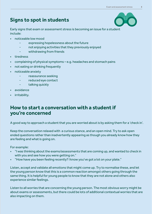# **Signs to spot in students**



Early signs that exam or assessment stress is becoming an issue for a student include:

- noticeable low mood
	- expressing hopelessness about the future
	- not enjoying activities that they previously enjoyed
	- withdrawing from friends
- tiredness
- complaining of physical symptoms e.g. headaches and stomach pains
- not eating or drinking frequently
- noticeable anxiety
	- reassurance seeking
	- reduced eye contact
	- talking quickly
- avoidance
- irritability.

#### **How to start a conversation with a student if you're concerned**

A good way to approach a student that you are worried about is by asking them for a 'check in'.

Keep the conversation relaxed with a curious stance, and an open mind. Try to ask open ended questions rather than inadvertently appearing as though you already know how they are feeling and what is going on.

For example:

- "I was thinking about the exams/assessments that are coming up, and wanted to check in with you and see how you were getting on."
- "How have you been feeling recently? I know you've got a lot on your plate."

Listen, accept and validate all emotions that might come up. Try to normalise these, and let the young person know that this is a common reaction amongst others going through the same thing. It is helpful for young people to know that they are not alone and others also experience similar feelings.

Listen to all worries that are concerning the young person. The most obvious worry might be about exams or assessments, but there could be lots of additional contextual worries that are also impacting on them.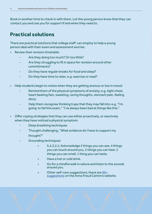Book in another time to check in with them. Let the young person know that they can contact you and use you for support if and when they need to.

### **Practical solutions**

There are practical solutions that college staff can employ to help a young person deal with their exam and assessment worries.

- Review their revision timetable:
	- Are they doing too much? Or too little?
	- Are they struggling to fit in space for revision around other commitments?
	- Do they have regular breaks for food and sleep?
	- Do they have time to relax, e.g. exercise or read?
- Help students begin to notice when they are getting anxious or low in mood:
	- Remind them of the physical symptoms of anxiety; e.g. tight chest, heart beating fast, sweating, racing thoughts, stomach pain, feeling dizzy.
	- Help them recognise thinking traps that they may fall into; e.g. "I'm going to fail this exam," "I've always been bad at things like this."
- Offer coping strategies that they can use either proactively, or reactively when they have noticed a physical symptom:
	- Deep breathing techniques
	- Thought challenging, "What evidence do I have to support my thought?"
	- Grounding techniques:
		- 5,4,3,2,1; Acknowledge 5 things you can see, 4 things you can touch around you, 3 things you can hear, 2 things you can smell, 1 thing you can taste.
		- Have a hot or cold drink.
		- Go for a mindful walk in nature and listen to the sounds around you.
		- Other self-care suggestions; there are 90+ suggestions on the Anna Freud Centre's website.

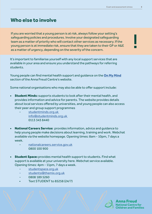!

#### **Who else to involve**

If you are worried that a young person is at risk, always follow your setting's safeguarding policies and procedures. Involve your designated safeguarding team as a matter of priority who will contact other services as necessary. If the young person is at immediate risk, ensure that they are taken to their GP or A&E as a matter of urgency, depending on the severity of the concern.

It's important to familiarise yourself with any local support services that are available in your area and ensure you understand the pathways for referring students.

Young people can find mental health support and guidance on the **On My Mind** section of the Anna Freud Centre's website.

Some national organisations who may also be able to offer support include:

- Student Minds**:** supports students to look after their mental health, and provides information and advice for parents. The website provides details about local services offered by universities, and young people can also access their peer and group support programmes
	- studentminds.org.uk info@studentminds.org.uk 0113 343 8440
- **National Careers Service:** provides information, advice and quidance to help young people make decisions about learning, training and work. Webchat available via the website homepage. Opening times: 8am - 10pm, 7 days a week.
	- nationalcareers.service.gov.uk 0800 100 900
- **Student Space:** provides mental health support to students. Find what support is available at your university here. Webchat service available. Opening times: 4pm - 11pm, 7 days a week.
	- studentspace.org.uk
	- students@themix.org.uk
	- 0808 189 5260
	- Text STUDENT to 85258 (24/7)